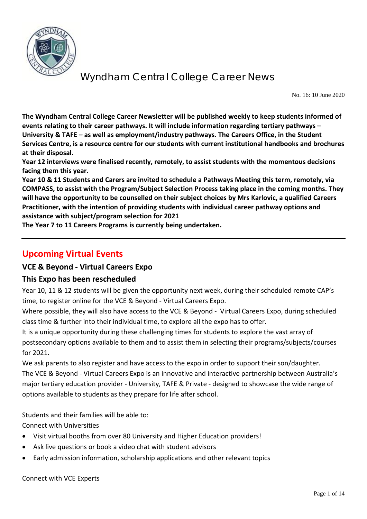

No. 16: 10 June 2020

**The Wyndham Central College Career Newsletter will be published weekly to keep students informed of events relating to their career pathways. It will include information regarding tertiary pathways – University & TAFE – as well as employment/industry pathways. The Careers Office, in the Student Services Centre, is a resource centre for our students with current institutional handbooks and brochures at their disposal.** 

**Year 12 interviews were finalised recently, remotely, to assist students with the momentous decisions facing them this year.** 

**Year 10 & 11 Students and Carers are invited to schedule a Pathways Meeting this term, remotely, via COMPASS, to assist with the Program/Subject Selection Process taking place in the coming months. They will have the opportunity to be counselled on their subject choices by Mrs Karlovic, a qualified Careers Practitioner, with the intention of providing students with individual career pathway options and assistance with subject/program selection for 2021**

**The Year 7 to 11 Careers Programs is currently being undertaken.**

## **Upcoming Virtual Events**

### **VCE & Beyond - Virtual Careers Expo**

### **This Expo has been rescheduled**

Year 10, 11 & 12 students will be given the opportunity next week, during their scheduled remote CAP's time, to register online for the VCE & Beyond - Virtual Careers Expo.

Where possible, they will also have access to the VCE & Beyond - Virtual Careers Expo, during scheduled class time & further into their individual time, to explore all the expo has to offer.

It is a unique opportunity during these challenging times for students to explore the vast array of postsecondary options available to them and to assist them in selecting their programs/subjects/courses for 2021.

We ask parents to also register and have access to the expo in order to support their son/daughter. The VCE & Beyond - Virtual Careers Expo is an innovative and interactive partnership between Australia's major tertiary education provider - University, TAFE & Private - designed to showcase the wide range of options available to students as they prepare for life after school.

Students and their families will be able to:

Connect with Universities

- Visit virtual booths from over 80 University and Higher Education providers!
- Ask live questions or book a video chat with student advisors
- Early admission information, scholarship applications and other relevant topics

#### Connect with VCE Experts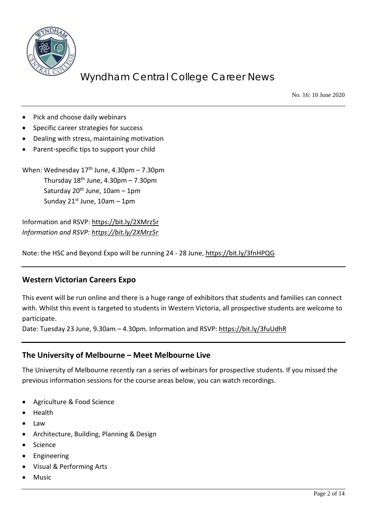

No. 16: 10 June 2020

- Pick and choose daily webinars
- Specific career strategies for success
- Dealing with stress, maintaining motivation
- Parent-specific tips to support your child

When: Wednesday  $17<sup>th</sup>$  June, 4.30pm – 7.30pm Thursday  $18<sup>th</sup>$  June,  $4.30$ pm – 7.30pm Saturday  $20^{th}$  June,  $10$ am – 1pm Sunday  $21^{st}$  June,  $10$ am – 1pm

Information and RSVP:<https://bit.ly/2XMrz5r> *Information and RSVP:<https://bit.ly/2XMrz5r>*

Note: the HSC and Beyond Expo will be running 24 - 28 June,<https://bit.ly/3fnHPQG>

### **Western Victorian Careers Expo**

This event will be run online and there is a huge range of exhibitors that students and families can connect with. Whilst this event is targeted to students in Western Victoria, all prospective students are welcome to participate.

Date: Tuesday 23 June, 9.30am – 4.30pm. Information and RSVP:<https://bit.ly/3fuUdhR>

### **The University of Melbourne – Meet Melbourne Live**

The University of Melbourne recently ran a series of webinars for prospective students. If you missed the previous information sessions for the course areas below, you can watch recordings.

- Agriculture & Food Science
- Health
- Law
- Architecture, Building, Planning & Design
- **Science**
- **Engineering**
- Visual & Performing Arts
- **Music**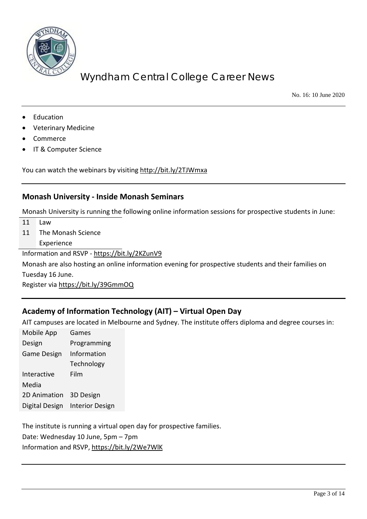

No. 16: 10 June 2020

- **Education**
- Veterinary Medicine
- Commerce
- IT & Computer Science

You can watch the webinars by visiting<http://bit.ly/2TJWmxa>

#### **Monash University - Inside Monash Seminars**

Monash University is running the following online information sessions for prospective students in June:

- 11 Law
- 11 The Monash Science

Experience

Information and RSVP - <https://bit.ly/2KZunV9>

Monash are also hosting an online information evening for prospective students and their families on Tuesday 16 June.

Register via<https://bit.ly/39GmmOQ>

### **Academy of Information Technology (AIT) – Virtual Open Day**

AIT campuses are located in Melbourne and Sydney. The institute offers diploma and degree courses in:

Mobile App Design Games Programming Game Design Information Technology Interactive Media Film 2D Animation 3D Design Digital Design Interior Design

The institute is running a virtual open day for prospective families. Date: Wednesday 10 June, 5pm – 7pm

Information and RSVP,<https://bit.ly/2We7WlK>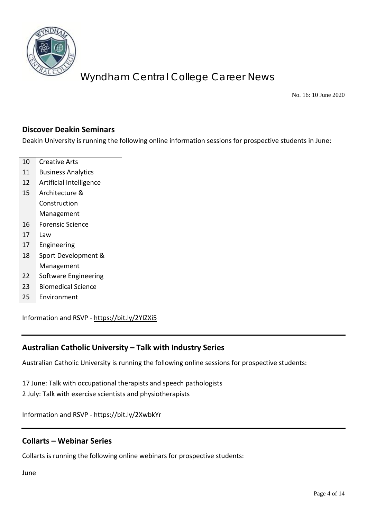

No. 16: 10 June 2020

#### **Discover Deakin Seminars**

Deakin University is running the following online information sessions for prospective students in June:

- 10 Creative Arts
- 11 Business Analytics
- 12 Artificial Intelligence
- 15 Architecture & Construction Management
- 16 Forensic Science
- 17 Law
- 17 Engineering
- 18 Sport Development & Management
- 22 Software Engineering
- 23 Biomedical Science
- 25 Environment

Information and RSVP - <https://bit.ly/2YIZXi5>

### **Australian Catholic University – Talk with Industry Series**

Australian Catholic University is running the following online sessions for prospective students:

17 June: Talk with occupational therapists and speech pathologists 2 July: Talk with exercise scientists and physiotherapists

Information and RSVP - <https://bit.ly/2XwbkYr>

### **Collarts – Webinar Series**

Collarts is running the following online webinars for prospective students:

June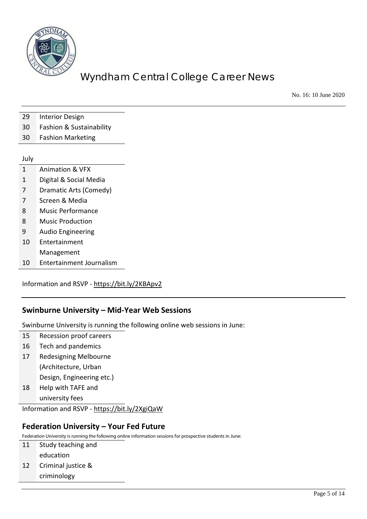

No. 16: 10 June 2020

- 29 Interior Design
- 30 Fashion & Sustainability
- 30 Fashion Marketing

#### July

- 1 Animation & VFX
- 1 Digital & Social Media
- 7 Dramatic Arts (Comedy)
- 7 Screen & Media
- 8 Music Performance
- 8 Music Production
- 9 Audio Engineering
- 10 Entertainment Management
- 10 Entertainment Journalism

Information and RSVP - <https://bit.ly/2KBApv2>

### **Swinburne University – Mid-Year Web Sessions**

Swinburne University is running the following online web sessions in June:

- 15 Recession proof careers
- 16 Tech and pandemics
- 17 Redesigning Melbourne (Architecture, Urban

Design, Engineering etc.)

18 Help with TAFE and

university fees

Information and RSVP - <https://bit.ly/2XgiQaW>

### **Federation University – Your Fed Future**

Federation University is running the following online information sessions for prospective students in June:

- 11 Study teaching and education
- 12 Criminal justice & criminology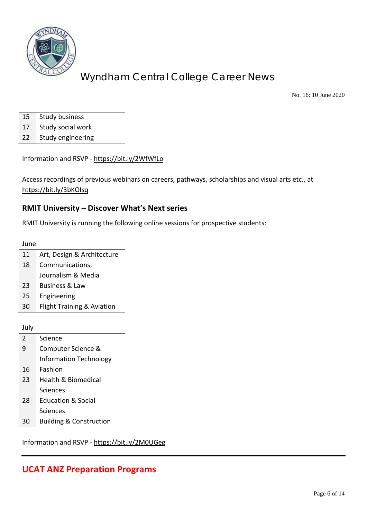

No. 16: 10 June 2020

- 15 Study business
- 17 Study social work
- 22 Study engineering

Information and RSVP - <https://bit.ly/2WfWfLo>

Access recordings of previous webinars on careers, pathways, scholarships and visual arts etc., at <https://bit.ly/3bKOIsq>

## **RMIT University – Discover What's Next series**

RMIT University is running the following online sessions for prospective students:

June

- 11 Art, Design & Architecture
- 18 Communications, Journalism & Media
- 23 Business & Law
- 25 Engineering
- 30 Flight Training & Aviation

July

- 2 Science 9 Computer Science & Information Technology 16 Fashion 23 Health & Biomedical Sciences 28 Education & Social Sciences
- 30 Building & Construction

Information and RSVP - <https://bit.ly/2M0UGeg>

## **UCAT ANZ Preparation Programs**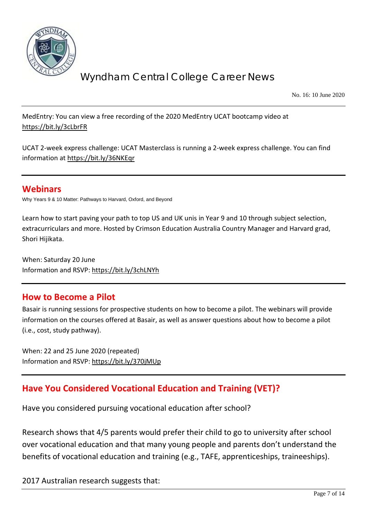

No. 16: 10 June 2020

MedEntry: You can view a free recording of the 2020 MedEntry UCAT bootcamp video at <https://bit.ly/3cLbrFR>

UCAT 2-week express challenge: UCAT Masterclass is running a 2-week express challenge. You can find information at<https://bit.ly/36NKEqr>

## **Webinars**

Why Years 9 & 10 Matter: Pathways to Harvard, Oxford, and Beyond

Learn how to start paving your path to top US and UK unis in Year 9 and 10 through subject selection, extracurriculars and more. Hosted by Crimson Education Australia Country Manager and Harvard grad, Shori Hijikata.

When: Saturday 20 June Information and RSVP:<https://bit.ly/3chLNYh>

### **How to Become a Pilot**

Basair is running sessions for prospective students on how to become a pilot. The webinars will provide information on the courses offered at Basair, as well as answer questions about how to become a pilot (i.e., cost, study pathway).

When: 22 and 25 June 2020 (repeated) Information and RSVP:<https://bit.ly/370jMUp>

## **Have You Considered Vocational Education and Training (VET)?**

Have you considered pursuing vocational education after school?

Research shows that 4/5 parents would prefer their child to go to university after school over vocational education and that many young people and parents don't understand the benefits of vocational education and training (e.g., TAFE, apprenticeships, traineeships).

2017 Australian research suggests that: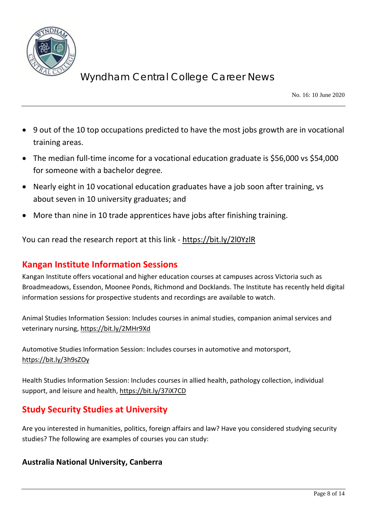

No. 16: 10 June 2020

- 9 out of the 10 top occupations predicted to have the most jobs growth are in vocational training areas.
- The median full-time income for a vocational education graduate is \$56,000 vs \$54,000 for someone with a bachelor degree.
- Nearly eight in 10 vocational education graduates have a job soon after training, vs about seven in 10 university graduates; and
- More than nine in 10 trade apprentices have jobs after finishing training.

You can read the research report at this link - <https://bit.ly/2l0YzlR>

## **Kangan Institute Information Sessions**

Kangan Institute offers vocational and higher education courses at campuses across Victoria such as Broadmeadows, Essendon, Moonee Ponds, Richmond and Docklands. The Institute has recently held digital information sessions for prospective students and recordings are available to watch.

Animal Studies Information Session: Includes courses in animal studies, companion animal services and veterinary nursing[, https://bit.ly/2MHr9Xd](https://bit.ly/2MHr9Xd)

Automotive Studies Information Session: Includes courses in automotive and motorsport, <https://bit.ly/3h9sZOy>

Health Studies Information Session: Includes courses in allied health, pathology collection, individual support, and leisure and health,<https://bit.ly/37iX7CD>

# **Study Security Studies at University**

Are you interested in humanities, politics, foreign affairs and law? Have you considered studying security studies? The following are examples of courses you can study:

### **Australia National University, Canberra**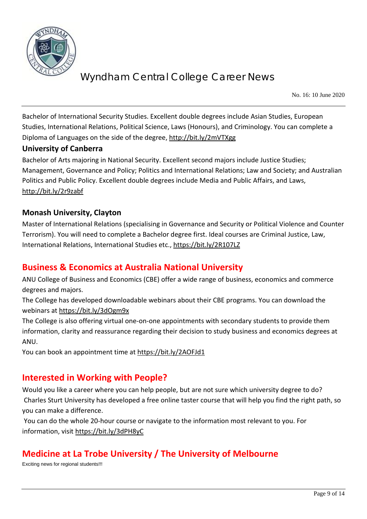

No. 16: 10 June 2020

Bachelor of International Security Studies. Excellent double degrees include Asian Studies, European Studies, International Relations, Political Science, Laws (Honours), and Criminology. You can complete a Diploma of Languages on the side of the degree,<http://bit.ly/2mVTXgg>

### **University of Canberra**

Bachelor of Arts majoring in National Security. Excellent second majors include Justice Studies; Management, Governance and Policy; Politics and International Relations; Law and Society; and Australian Politics and Public Policy. Excellent double degrees include Media and Public Affairs, and Laws, <http://bit.ly/2r9zabf>

### **Monash University, Clayton**

Master of International Relations (specialising in Governance and Security or Political Violence and Counter Terrorism). You will need to complete a Bachelor degree first. Ideal courses are Criminal Justice, Law, International Relations, International Studies etc.,<https://bit.ly/2R107LZ>

## **Business & Economics at Australia National University**

ANU College of Business and Economics (CBE) offer a wide range of business, economics and commerce degrees and majors.

The College has developed downloadable webinars about their CBE programs. You can download the webinars a[t https://bit.ly/3dOgm9x](https://bit.ly/3dOgm9x)

The College is also offering virtual one-on-one appointments with secondary students to provide them information, clarity and reassurance regarding their decision to study business and economics degrees at ANU.

You can book an appointment time at<https://bit.ly/2AOFJd1>

## **Interested in Working with People?**

Would you like a career where you can help people, but are not sure which university degree to do? Charles Sturt University has developed a free online taster course that will help you find the right path, so you can make a difference.

You can do the whole 20-hour course or navigate to the information most relevant to you. For information, visit<https://bit.ly/3dPH8yC>

## **Medicine at La Trobe University / The University of Melbourne**

Exciting news for regional students!!!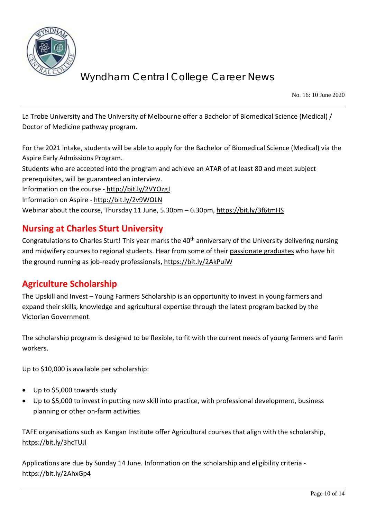

No. 16: 10 June 2020

La Trobe University and The University of Melbourne offer a Bachelor of Biomedical Science (Medical) / Doctor of Medicine pathway program.

For the 2021 intake, students will be able to apply for the Bachelor of Biomedical Science (Medical) via the Aspire Early Admissions Program.

Students who are accepted into the program and achieve an ATAR of at least 80 and meet subject prerequisites, will be guaranteed an interview.

Information on the course - <http://bit.ly/2VYOzgJ>

Information on Aspire - <http://bit.ly/2v9WOLN>

Webinar about the course, Thursday 11 June, 5.30pm – 6.30pm,<https://bit.ly/3f6tmHS>

## **Nursing at Charles Sturt University**

Congratulations to Charles Sturt! This year marks the 40<sup>th</sup> anniversary of the University delivering nursing and midwifery courses to regional students. Hear from some of their [passionate graduates](https://www.youtube.com/watch?v=sVRJhPou8z8&feature=emb_logo) who have hit the ground running as job-ready professionals,<https://bit.ly/2AkPuiW>

## **Agriculture Scholarship**

The Upskill and Invest – Young Farmers Scholarship is an opportunity to invest in young farmers and expand their skills, knowledge and agricultural expertise through the latest program backed by the Victorian Government.

The scholarship program is designed to be flexible, to fit with the current needs of young farmers and farm workers.

Up to \$10,000 is available per scholarship:

- Up to \$5,000 towards study
- Up to \$5,000 to invest in putting new skill into practice, with professional development, business planning or other on-farm activities

TAFE organisations such as Kangan Institute offer Agricultural courses that align with the scholarship, <https://bit.ly/3hcTUJl>

Applications are due by Sunday 14 June. Information on the scholarship and eligibility criteria <https://bit.ly/2AhxGp4>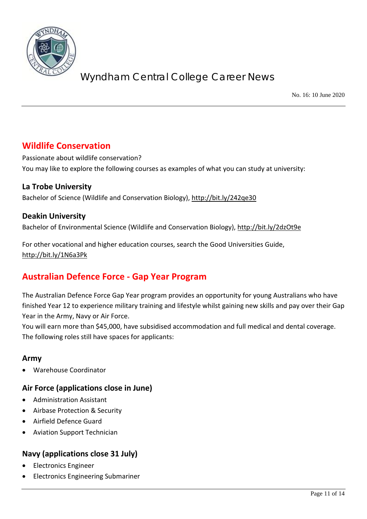

No. 16: 10 June 2020

## **Wildlife Conservation**

Passionate about wildlife conservation? You may like to explore the following courses as examples of what you can study at university:

### **La Trobe University**

Bachelor of Science (Wildlife and Conservation Biology),<http://bit.ly/242qe30>

### **Deakin University**

Bachelor of Environmental Science (Wildlife and Conservation Biology),<http://bit.ly/2dzOt9e>

For other vocational and higher education courses, search the Good Universities Guide, <http://bit.ly/1N6a3Pk>

# **Australian Defence Force - Gap Year Program**

The Australian Defence Force Gap Year program provides an opportunity for young Australians who have finished Year 12 to experience military training and lifestyle whilst gaining new skills and pay over their Gap Year in the Army, Navy or Air Force.

You will earn more than \$45,000, have subsidised accommodation and full medical and dental coverage. The following roles still have spaces for applicants:

### **Army**

• Warehouse Coordinator

### **Air Force (applications close in June)**

- Administration Assistant
- Airbase Protection & Security
- Airfield Defence Guard
- Aviation Support Technician

### **Navy (applications close 31 July)**

- Electronics Engineer
- Electronics Engineering Submariner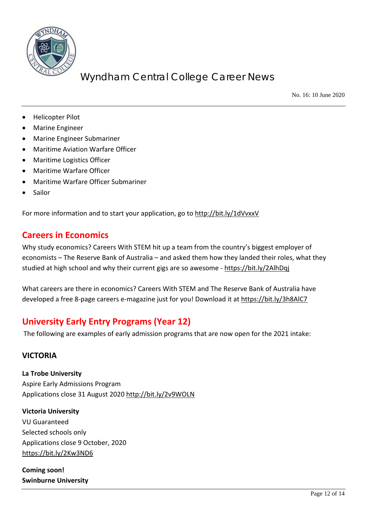

No. 16: 10 June 2020

- Helicopter Pilot
- Marine Engineer
- Marine Engineer Submariner
- Maritime Aviation Warfare Officer
- Maritime Logistics Officer
- Maritime Warfare Officer
- Maritime Warfare Officer Submariner
- Sailor

For more information and to start your application, go to<http://bit.ly/1dVvxxV>

## **Careers in Economics**

Why study economics? Careers With STEM hit up a team from the country's biggest employer of economists – The Reserve Bank of Australia – and asked them how they landed their roles, what they studied at high school and why their current gigs are so awesome - <https://bit.ly/2AlhDqj>

What careers are there in economics? Careers With STEM and The Reserve Bank of Australia have developed a free 8-page careers e-magazine just for you! Download it at<https://bit.ly/3h8AlC7>

# **University Early Entry Programs (Year 12)**

The following are examples of early admission programs that are now open for the 2021 intake:

### **VICTORIA**

**La Trobe University** Aspire Early Admissions Program Applications close 31 August 2020<http://bit.ly/2v9WOLN>

**Victoria University** VU Guaranteed Selected schools only Applications close 9 October, 2020 <https://bit.ly/2Kw3ND6>

**Coming soon! Swinburne University**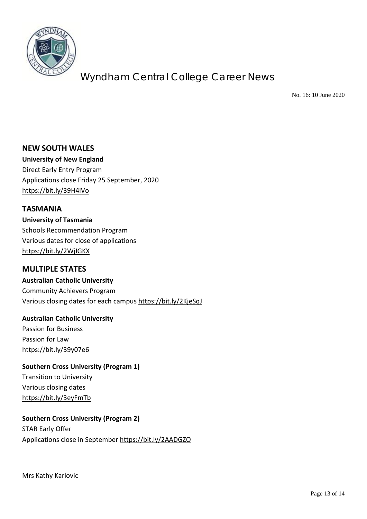

No. 16: 10 June 2020

**NEW SOUTH WALES University of New England** Direct Early Entry Program Applications close Friday 25 September, 2020 <https://bit.ly/39H4iVo>

**TASMANIA University of Tasmania** Schools Recommendation Program Various dates for close of applications <https://bit.ly/2WjIGKX>

### **MULTIPLE STATES**

**Australian Catholic University** Community Achievers Program Various closing dates for each campus<https://bit.ly/2KjeSqJ>

**Australian Catholic University** Passion for Business Passion for Law <https://bit.ly/39y07e6>

**Southern Cross University (Program 1)** Transition to University Various closing dates <https://bit.ly/3eyFmTb>

### **Southern Cross University (Program 2)**

STAR Early Offer Applications close in September<https://bit.ly/2AADGZO>

Mrs Kathy Karlovic